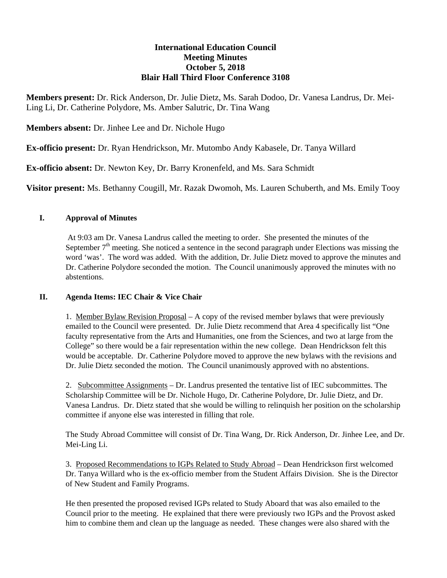# **International Education Council Meeting Minutes October 5, 2018 Blair Hall Third Floor Conference 3108**

**Members present:** Dr. Rick Anderson, Dr. Julie Dietz, Ms. Sarah Dodoo, Dr. Vanesa Landrus, Dr. Mei-Ling Li, Dr. Catherine Polydore, Ms. Amber Salutric, Dr. Tina Wang

**Members absent:** Dr. Jinhee Lee and Dr. Nichole Hugo

**Ex-officio present:** Dr. Ryan Hendrickson, Mr. Mutombo Andy Kabasele, Dr. Tanya Willard

**Ex-officio absent:** Dr. Newton Key, Dr. Barry Kronenfeld, and Ms. Sara Schmidt

**Visitor present:** Ms. Bethanny Cougill, Mr. Razak Dwomoh, Ms. Lauren Schuberth, and Ms. Emily Tooy

## **I. Approval of Minutes**

 At 9:03 am Dr. Vanesa Landrus called the meeting to order. She presented the minutes of the September  $7<sup>th</sup>$  meeting. She noticed a sentence in the second paragraph under Elections was missing the word 'was'. The word was added. With the addition, Dr. Julie Dietz moved to approve the minutes and Dr. Catherine Polydore seconded the motion. The Council unanimously approved the minutes with no abstentions.

## **II. Agenda Items: IEC Chair & Vice Chair**

1. Member Bylaw Revision Proposal – A copy of the revised member bylaws that were previously emailed to the Council were presented. Dr. Julie Dietz recommend that Area 4 specifically list "One faculty representative from the Arts and Humanities, one from the Sciences, and two at large from the College" so there would be a fair representation within the new college. Dean Hendrickson felt this would be acceptable. Dr. Catherine Polydore moved to approve the new bylaws with the revisions and Dr. Julie Dietz seconded the motion. The Council unanimously approved with no abstentions.

2. Subcommittee Assignments – Dr. Landrus presented the tentative list of IEC subcommittes. The Scholarship Committee will be Dr. Nichole Hugo, Dr. Catherine Polydore, Dr. Julie Dietz, and Dr. Vanesa Landrus. Dr. Dietz stated that she would be willing to relinquish her position on the scholarship committee if anyone else was interested in filling that role.

The Study Abroad Committee will consist of Dr. Tina Wang, Dr. Rick Anderson, Dr. Jinhee Lee, and Dr. Mei-Ling Li.

3. Proposed Recommendations to IGPs Related to Study Abroad – Dean Hendrickson first welcomed Dr. Tanya Willard who is the ex-officio member from the Student Affairs Division. She is the Director of New Student and Family Programs.

He then presented the proposed revised IGPs related to Study Aboard that was also emailed to the Council prior to the meeting. He explained that there were previously two IGPs and the Provost asked him to combine them and clean up the language as needed. These changes were also shared with the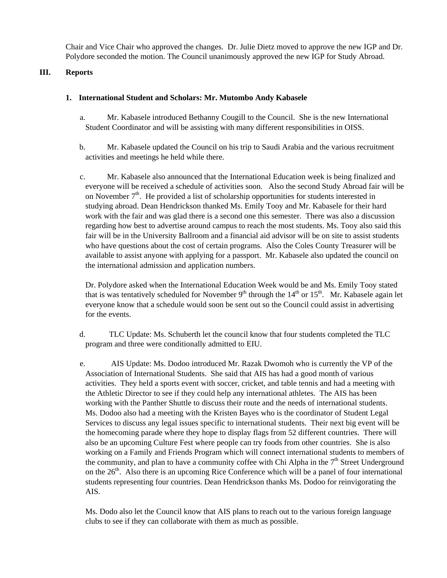Chair and Vice Chair who approved the changes. Dr. Julie Dietz moved to approve the new IGP and Dr. Polydore seconded the motion. The Council unanimously approved the new IGP for Study Abroad.

## **III. Reports**

#### **1. International Student and Scholars: Mr. Mutombo Andy Kabasele**

- a. Mr. Kabasele introduced Bethanny Cougill to the Council. She is the new International Student Coordinator and will be assisting with many different responsibilities in OISS.
- b. Mr. Kabasele updated the Council on his trip to Saudi Arabia and the various recruitment activities and meetings he held while there.
- c. Mr. Kabasele also announced that the International Education week is being finalized and everyone will be received a schedule of activities soon. Also the second Study Abroad fair will be on November  $7<sup>th</sup>$ . He provided a list of scholarship opportunities for students interested in studying abroad. Dean Hendrickson thanked Ms. Emily Tooy and Mr. Kabasele for their hard work with the fair and was glad there is a second one this semester. There was also a discussion regarding how best to advertise around campus to reach the most students. Ms. Tooy also said this fair will be in the University Ballroom and a financial aid advisor will be on site to assist students who have questions about the cost of certain programs. Also the Coles County Treasurer will be available to assist anyone with applying for a passport. Mr. Kabasele also updated the council on the international admission and application numbers.

Dr. Polydore asked when the International Education Week would be and Ms. Emily Tooy stated that is was tentatively scheduled for November  $9<sup>th</sup>$  through the  $14<sup>th</sup>$  or  $15<sup>th</sup>$ . Mr. Kabasele again let everyone know that a schedule would soon be sent out so the Council could assist in advertising for the events.

- d. TLC Update: Ms. Schuberth let the council know that four students completed the TLC program and three were conditionally admitted to EIU.
- e. AIS Update: Ms. Dodoo introduced Mr. Razak Dwomoh who is currently the VP of the Association of International Students. She said that AIS has had a good month of various activities. They held a sports event with soccer, cricket, and table tennis and had a meeting with the Athletic Director to see if they could help any international athletes. The AIS has been working with the Panther Shuttle to discuss their route and the needs of international students. Ms. Dodoo also had a meeting with the Kristen Bayes who is the coordinator of Student Legal Services to discuss any legal issues specific to international students. Their next big event will be the homecoming parade where they hope to display flags from 52 different countries. There will also be an upcoming Culture Fest where people can try foods from other countries. She is also working on a Family and Friends Program which will connect international students to members of the community, and plan to have a community coffee with Chi Alpha in the  $7<sup>th</sup>$  Street Underground on the 26<sup>th</sup>. Also there is an upcoming Rice Conference which will be a panel of four international students representing four countries. Dean Hendrickson thanks Ms. Dodoo for reinvigorating the AIS.

Ms. Dodo also let the Council know that AIS plans to reach out to the various foreign language clubs to see if they can collaborate with them as much as possible.